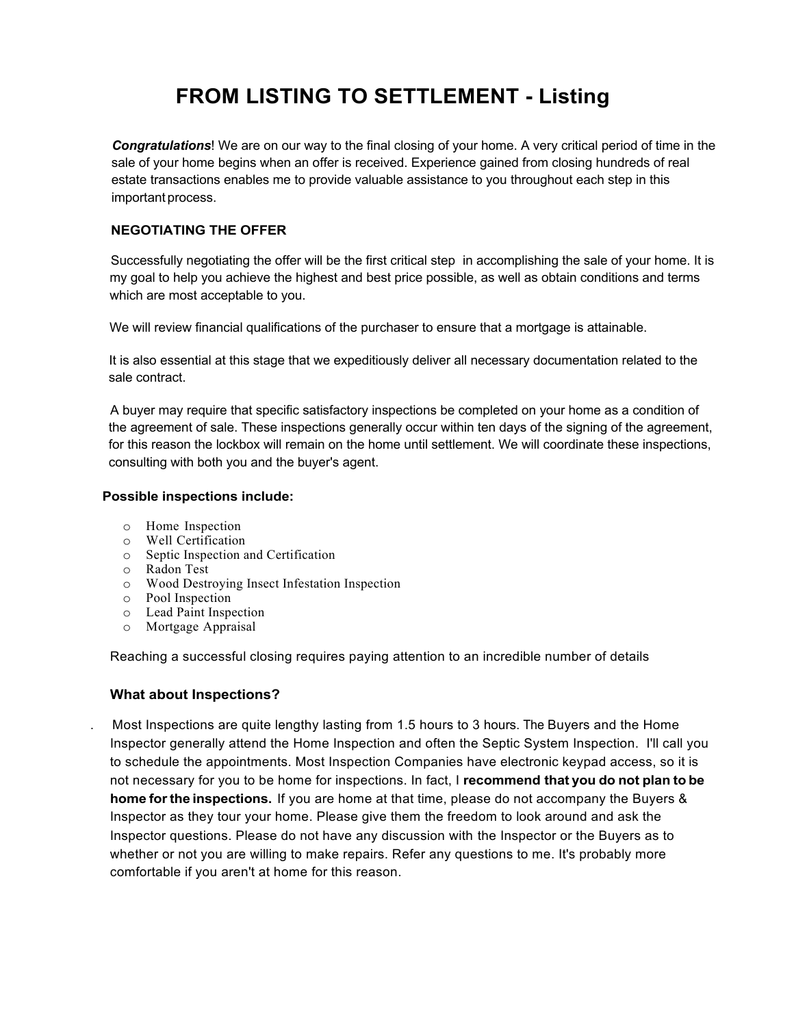# **FROM LISTING TO SETTLEMENT - Listing**

*Congratulations*! We are on our way to the final closing of your home. A very critical period of time in the sale of your home begins when an offer is received. Experience gained from closing hundreds of real estate transactions enables me to provide valuable assistance to you throughout each step in this important process.

## **NEGOTIATING THE OFFER**

Successfully negotiating the offer will be the first critical step in accomplishing the sale of your home. It is my goal to help you achieve the highest and best price possible, as well as obtain conditions and terms which are most acceptable to you.

We will review financial qualifications of the purchaser to ensure that a mortgage is attainable.

It is also essential at this stage that we expeditiously deliver all necessary documentation related to the sale contract.

A buyer may require that specific satisfactory inspections be completed on your home as a condition of the agreement of sale. These inspections generally occur within ten days of the signing of the agreement, for this reason the lockbox will remain on the home until settlement. We will coordinate these inspections, consulting with both you and the buyer's agent.

#### **Possible inspections include:**

- o Home Inspection
- o Well Certification
- o Septic Inspection and Certification
- o Radon Test
- o Wood Destroying Insect Infestation Inspection
- o Pool Inspection
- o Lead Paint Inspection
- o Mortgage Appraisal

Reaching a successful closing requires paying attention to an incredible number of details

## **What about Inspections?**

. Most Inspections are quite lengthy lasting from 1.5 hours to 3 hours. The Buyers and the Home Inspector generally attend the Home Inspection and often the Septic System Inspection. I'll call you to schedule the appointments. Most Inspection Companies have electronic keypad access, so it is not necessary for you to be home for inspections. In fact, I **recommend that you do not plan to be home forthe inspections.** If you are home at that time, please do not accompany the Buyers & Inspector as they tour your home. Please give them the freedom to look around and ask the Inspector questions. Please do not have any discussion with the Inspector or the Buyers as to whether or not you are willing to make repairs. Refer any questions to me. It's probably more comfortable if you aren't at home for this reason.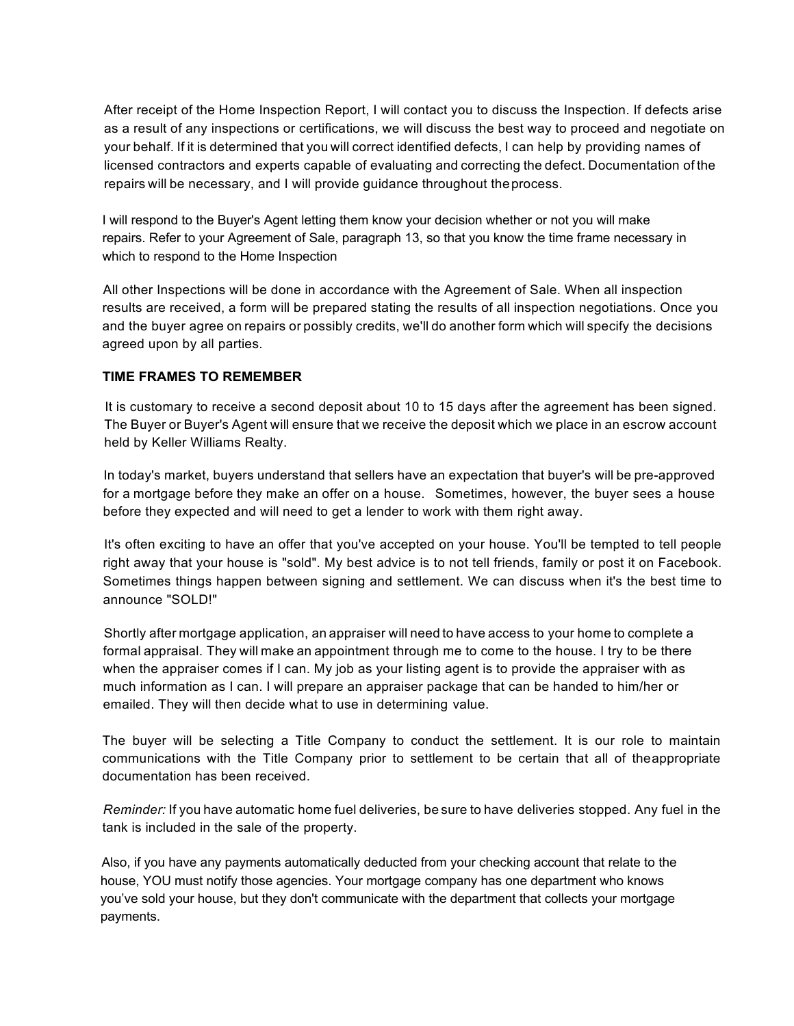After receipt of the Home Inspection Report, I will contact you to discuss the Inspection. If defects arise as a result of any inspections or certifications, we will discuss the best way to proceed and negotiate on your behalf. If it is determined that you will correct identified defects, I can help by providing names of licensed contractors and experts capable of evaluating and correcting the defect. Documentation of the repairs will be necessary, and I will provide guidance throughout theprocess.

I will respond to the Buyer's Agent letting them know your decision whether or not you will make repairs. Refer to your Agreement of Sale, paragraph 13, so that you know the time frame necessary in which to respond to the Home Inspection

All other Inspections will be done in accordance with the Agreement of Sale. When all inspection results are received, a form will be prepared stating the results of all inspection negotiations. Once you and the buyer agree on repairs or possibly credits, we'll do another form which will specify the decisions agreed upon by all parties.

# **TIME FRAMES TO REMEMBER**

It is customary to receive a second deposit about 10 to 15 days after the agreement has been signed. The Buyer or Buyer's Agent will ensure that we receive the deposit which we place in an escrow account held by Keller Williams Realty.

In today's market, buyers understand that sellers have an expectation that buyer's will be pre-approved for a mortgage before they make an offer on a house. Sometimes, however, the buyer sees a house before they expected and will need to get a lender to work with them right away.

It's often exciting to have an offer that you've accepted on your house. You'll be tempted to tell people right away that your house is "sold". My best advice is to not tell friends, family or post it on Facebook. Sometimes things happen between signing and settlement. We can discuss when it's the best time to announce "SOLD!"

Shortly after mortgage application, an appraiser will need to have access to your home to complete a formal appraisal. They will make an appointment through me to come to the house. I try to be there when the appraiser comes if I can. My job as your listing agent is to provide the appraiser with as much information as I can. I will prepare an appraiser package that can be handed to him/her or emailed. They will then decide what to use in determining value.

The buyer will be selecting a Title Company to conduct the settlement. It is our role to maintain communications with the Title Company prior to settlement to be certain that all of theappropriate documentation has been received.

*Reminder:* If you have automatic home fuel deliveries, be sure to have deliveries stopped. Any fuel in the tank is included in the sale of the property.

Also, if you have any payments automatically deducted from your checking account that relate to the house, YOU must notify those agencies. Your mortgage company has one department who knows you've sold your house, but they don't communicate with the department that collects your mortgage payments.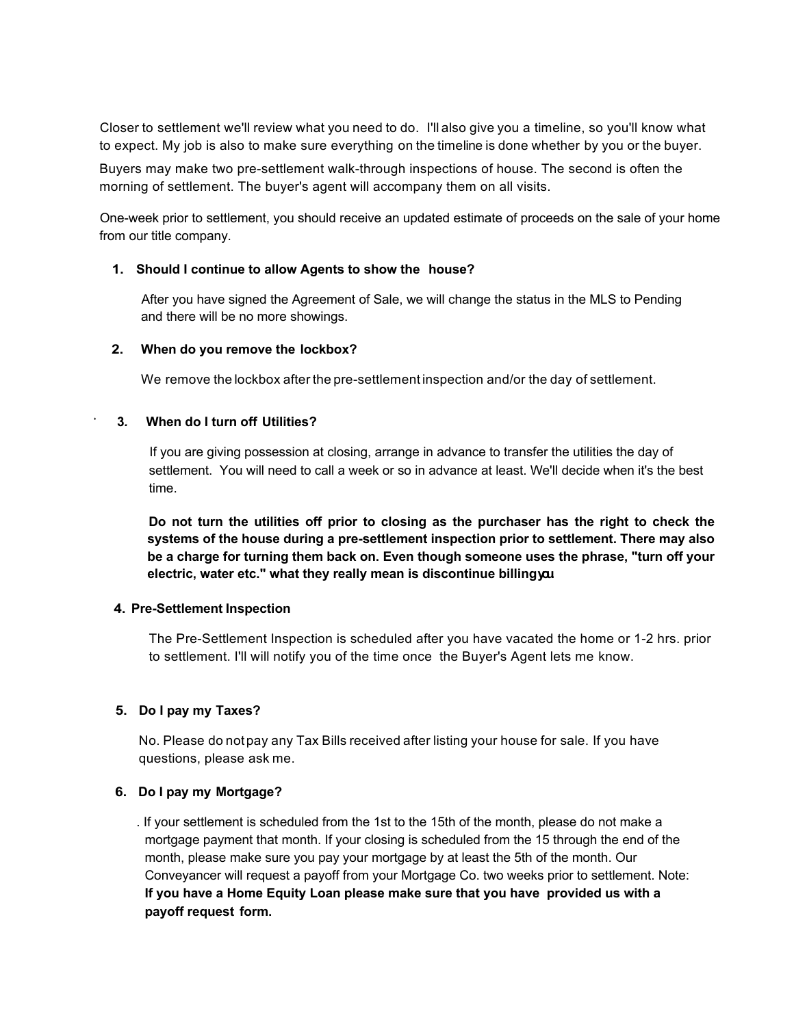Closer to settlement we'll review what you need to do. I'll also give you a timeline, so you'll know what to expect. My job is also to make sure everything on the timeline is done whether by you or the buyer.

Buyers may make two pre-settlement walk-through inspections of house. The second is often the morning of settlement. The buyer's agent will accompany them on all visits.

One-week prior to settlement, you should receive an updated estimate of proceeds on the sale of your home from our title company.

#### **1. Should I continue to allow Agents to show the house?**

After you have signed the Agreement of Sale, we will change the status in the MLS to Pending and there will be no more showings.

#### **2. When do you remove the lockbox?**

We remove the lockbox after the pre-settlement inspection and/or the day of settlement.

#### · **3***.* **When do I turn off Utilities?**

If you are giving possession at closing, arrange in advance to transfer the utilities the day of settlement. You will need to call a week or so in advance at least. We'll decide when it's the best time.

**Do not turn the utilities off prior to closing as the purchaser has the right to check the systems of the house during a pre-settlement inspection prior to settlement. There may also be a charge for turning them back on. Even though someone uses the phrase, "turn off your electric, water etc." what they really mean is discontinue billing you.**

#### **4. Pre-Settlement Inspection**

The Pre-Settlement Inspection is scheduled after you have vacated the home or 1-2 hrs. prior to settlement. I'll will notify you of the time once the Buyer's Agent lets me know.

#### **5. Do I pay my Taxes?**

No. Please do notpay any Tax Bills received after listing your house for sale. If you have questions, please ask me.

#### **6. Do I pay my Mortgage?**

. If your settlement is scheduled from the 1st to the 15th of the month, please do not make a mortgage payment that month. If your closing is scheduled from the 15 through the end of the month, please make sure you pay your mortgage by at least the 5th of the month. Our Conveyancer will request a payoff from your Mortgage Co. two weeks prior to settlement. Note: **If you have a Home Equity Loan please make sure that you have provided us with a payoff request form.**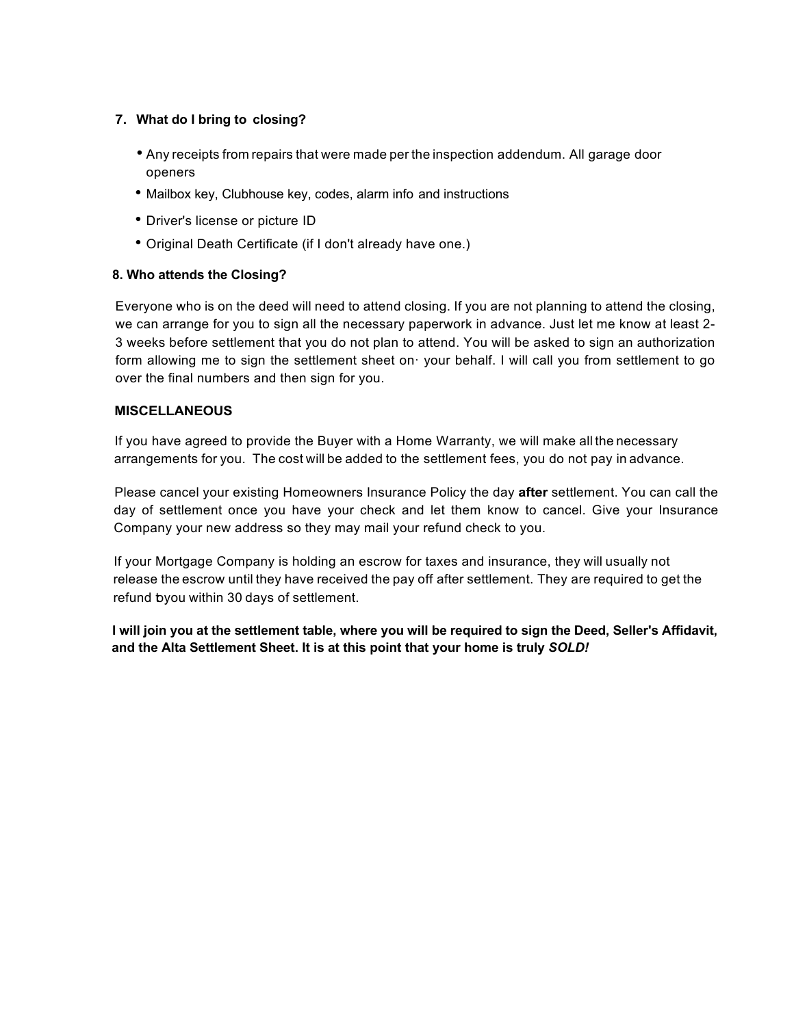# **7. What do I bring to closing?**

- Any receipts from repairs that were made per the inspection addendum. All garage door openers
- Mailbox key, Clubhouse key, codes, alarm info and instructions
- Driver's license or picture ID
- Original Death Certificate (if I don't already have one.)

# **8. Who attends the Closing?**

Everyone who is on the deed will need to attend closing. If you are not planning to attend the closing, we can arrange for you to sign all the necessary paperwork in advance. Just let me know at least 2- 3 weeks before settlement that you do not plan to attend. You will be asked to sign an authorization form allowing me to sign the settlement sheet on· your behalf. I will call you from settlement to go over the final numbers and then sign for you.

## **MISCELLANEOUS**

If you have agreed to provide the Buyer with a Home Warranty, we will make all the necessary arrangements for you. The cost will be added to the settlement fees, you do not pay in advance.

Please cancel your existing Homeowners Insurance Policy the day **after** settlement. You can call the day of settlement once you have your check and let them know to cancel. Give your Insurance Company your new address so they may mail your refund check to you.

If your Mortgage Company is holding an escrow for taxes and insurance, they will usually not release the escrow until they have received the pay off after settlement. They are required to get the refund byou within 30 days of settlement.

**I will join you at the settlement table, where you will be required to sign the Deed, Seller's Affidavit, and the Alta Settlement Sheet. It is at this point that your home is truly** *SOLD!*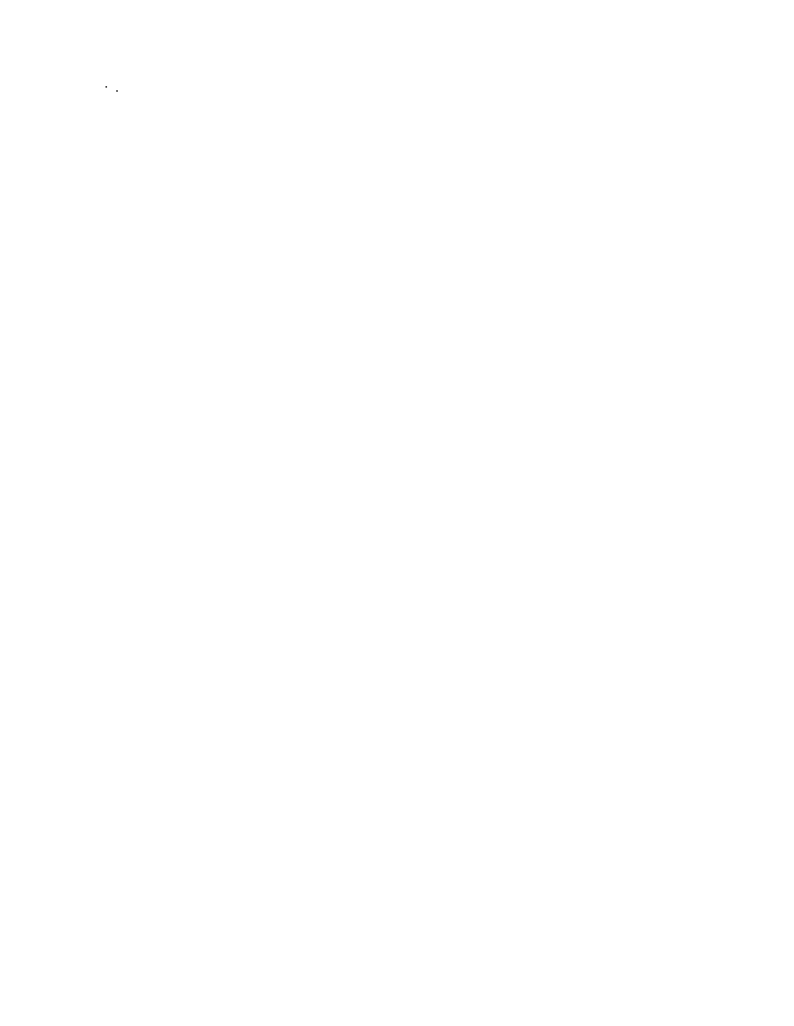$\mathcal{L}_{\text{max}}$